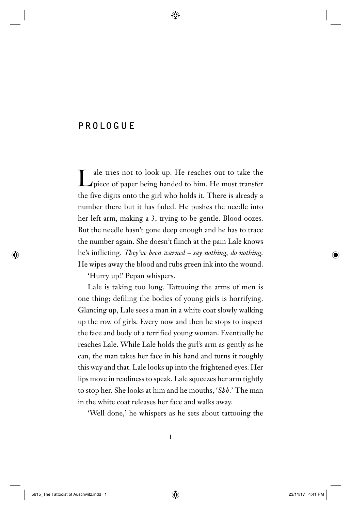# **PROLOGUE**

Lale tries not to look up. He reaches out to take the piece of paper being handed to him. He must transfer the five digits onto the girl who holds it. There is already a number there but it has faded. He pushes the needle into her left arm, making a 3, trying to be gentle. Blood oozes. But the needle hasn't gone deep enough and he has to trace the number again. She doesn't flinch at the pain Lale knows he's inflicting. *They've been warned – say nothing, do nothing.* He wipes away the blood and rubs green ink into the wound.

◈

'Hurry up!' Pepan whispers.

Lale is taking too long. Tattooing the arms of men is one thing; defiling the bodies of young girls is horrifying. Glancing up, Lale sees a man in a white coat slowly walking up the row of girls. Every now and then he stops to inspect the face and body of a terrified young woman. Eventually he reaches Lale. While Lale holds the girl's arm as gently as he can, the man takes her face in his hand and turns it roughly this way and that. Lale looks up into the frightened eyes. Her lips move in readiness to speak. Lale squeezes her arm tightly to stop her. She looks at him and he mouths, '*Shh*.' The man in the white coat releases her face and walks away.

'Well done,' he whispers as he sets about tattooing the

⊕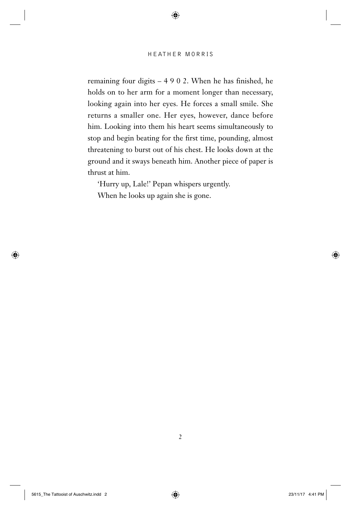◈

remaining four digits – 4 9 0 2. When he has finished, he holds on to her arm for a moment longer than necessary, looking again into her eyes. He forces a small smile. She returns a smaller one. Her eyes, however, dance before him. Looking into them his heart seems simultaneously to stop and begin beating for the first time, pounding, almost threatening to burst out of his chest. He looks down at the ground and it sways beneath him. Another piece of paper is thrust at him.

'Hurry up, Lale!' Pepan whispers urgently. When he looks up again she is gone.

 $\bigoplus$ 

↔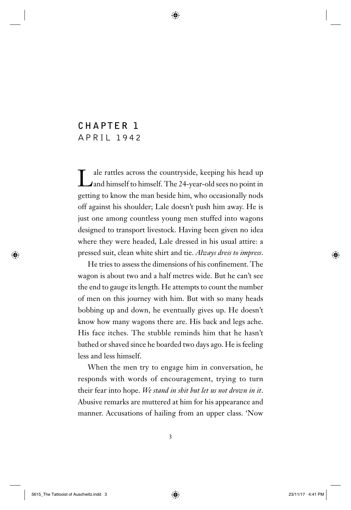# **CHAPTER 1** APRIL 1942

Lale rattles across the countryside, keeping his head up<br>and himself to himself. The 24-year-old sees no point in getting to know the man beside him, who occasionally nods off against his shoulder; Lale doesn't push him away. He is just one among countless young men stuffed into wagons designed to transport livestock. Having been given no idea where they were headed, Lale dressed in his usual attire: a pressed suit, clean white shirt and tie. *Always dress to impress*.

◈

He tries to assess the dimensions of his confinement. The wagon is about two and a half metres wide. But he can't see the end to gauge its length. He attempts to count the number of men on this journey with him. But with so many heads bobbing up and down, he eventually gives up. He doesn't know how many wagons there are. His back and legs ache. His face itches. The stubble reminds him that he hasn't bathed or shaved since he boarded two days ago. He is feeling less and less himself.

When the men try to engage him in conversation, he responds with words of encouragement, trying to turn their fear into hope. *We stand in shit but let us not drown in it*. Abusive remarks are muttered at him for his appearance and manner. Accusations of hailing from an upper class. 'Now

⊕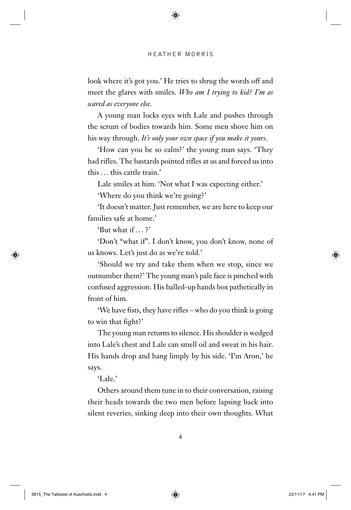⊕

look where it's got you.' He tries to shrug the words off and meet the glares with smiles. *Who am I trying to kid? I'm as scared as everyone else.*

A young man locks eyes with Lale and pushes through the scrum of bodies towards him. Some men shove him on his way through. *It's only your own space if you make it yours*.

'How can you be so calm?' the young man says. 'They had rifles. The bastards pointed rifles at us and forced us into this ... this cattle train.'

Lale smiles at him. 'Not what I was expecting either.'

'Where do you think we're going?'

'It doesn't matter. Just remember, we are here to keep our families safe at home.'

'But what if  $\ldots$  ?'

'Don't "what if". I don't know, you don't know, none of us knows. Let's just do as we're told.'

'Should we try and take them when we stop, since we outnumber them?' The young man's pale face is pinched with confused aggression. His balled-up hands box pathetically in front of him.

'We have fists, they have rifles – who do you think is going to win that fight?'

The young man returns to silence. His shoulder is wedged into Lale's chest and Lale can smell oil and sweat in his hair. His hands drop and hang limply by his side. 'I'm Aron,' he says.

'Lale.'

Others around them tune in to their conversation, raising their heads towards the two men before lapsing back into silent reveries, sinking deep into their own thoughts. What

⊕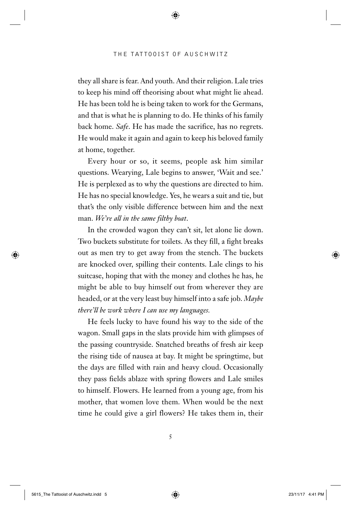⊕

they all share is fear. And youth. And their religion. Lale tries to keep his mind off theorising about what might lie ahead. He has been told he is being taken to work for the Germans, and that is what he is planning to do. He thinks of his family back home. *Safe*. He has made the sacrifice, has no regrets. He would make it again and again to keep his beloved family at home, together.

Every hour or so, it seems, people ask him similar questions. Wearying, Lale begins to answer, 'Wait and see.' He is perplexed as to why the questions are directed to him. He has no special knowledge. Yes, he wears a suit and tie, but that's the only visible difference between him and the next man. *We're all in the same filthy boat*.

In the crowded wagon they can't sit, let alone lie down. Two buckets substitute for toilets. As they fill, a fight breaks out as men try to get away from the stench. The buckets are knocked over, spilling their contents. Lale clings to his suitcase, hoping that with the money and clothes he has, he might be able to buy himself out from wherever they are headed, or at the very least buy himself into a safe job. *Maybe there'll be work where I can use my languages.*

He feels lucky to have found his way to the side of the wagon. Small gaps in the slats provide him with glimpses of the passing countryside. Snatched breaths of fresh air keep the rising tide of nausea at bay. It might be springtime, but the days are filled with rain and heavy cloud. Occasionally they pass fields ablaze with spring flowers and Lale smiles to himself. Flowers. He learned from a young age, from his mother, that women love them. When would be the next time he could give a girl flowers? He takes them in, their

5

⊕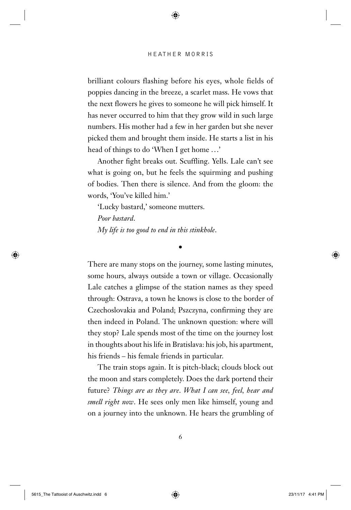◈

brilliant colours flashing before his eyes, whole fields of poppies dancing in the breeze, a scarlet mass. He vows that the next flowers he gives to someone he will pick himself. It has never occurred to him that they grow wild in such large numbers. His mother had a few in her garden but she never picked them and brought them inside. He starts a list in his head of things to do 'When I get home . . .'

Another fight breaks out. Scuffling. Yells. Lale can't see what is going on, but he feels the squirming and pushing of bodies. Then there is silence. And from the gloom: the words, 'You've killed him.'

'Lucky bastard,' someone mutters. *Poor bastard*. *My life is too good to end in this stinkhole*.

There are many stops on the journey, some lasting minutes, some hours, always outside a town or village. Occasionally Lale catches a glimpse of the station names as they speed through: Ostrava, a town he knows is close to the border of Czechoslovakia and Poland; Pszczyna, confirming they are then indeed in Poland. The unknown question: where will they stop? Lale spends most of the time on the journey lost in thoughts about his life in Bratislava: his job, his apartment, his friends – his female friends in particular.

•

The train stops again. It is pitch-black; clouds block out the moon and stars completely. Does the dark portend their future? *Things are as they are*. *What I can see, feel, hear and smell right now*. He sees only men like himself, young and on a journey into the unknown. He hears the grumbling of

⊕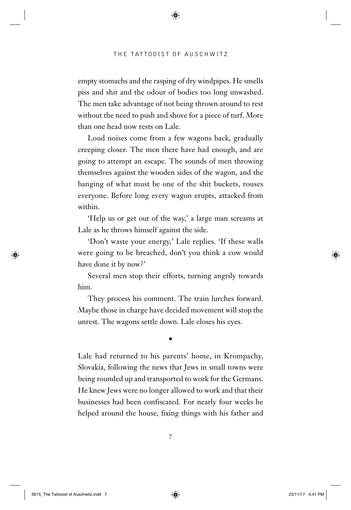⊕

empty stomachs and the rasping of dry windpipes. He smells piss and shit and the odour of bodies too long unwashed. The men take advantage of not being thrown around to rest without the need to push and shove for a piece of turf. More than one head now rests on Lale.

Loud noises come from a few wagons back, gradually creeping closer. The men there have had enough, and are going to attempt an escape. The sounds of men throwing themselves against the wooden sides of the wagon, and the banging of what must be one of the shit buckets, rouses everyone. Before long every wagon erupts, attacked from within.

'Help us or get out of the way,' a large man screams at Lale as he throws himself against the side.

'Don't waste your energy,' Lale replies. 'If these walls were going to be breached, don't you think a cow would have done it by now?'

Several men stop their efforts, turning angrily towards him.

They process his comment. The train lurches forward. Maybe those in charge have decided movement will stop the unrest. The wagons settle down. Lale closes his eyes.

•

Lale had returned to his parents' home, in Krompachy, Slovakia, following the news that Jews in small towns were being rounded up and transported to work for the Germans. He knew Jews were no longer allowed to work and that their businesses had been confiscated. For nearly four weeks he helped around the house, fixing things with his father and

⊕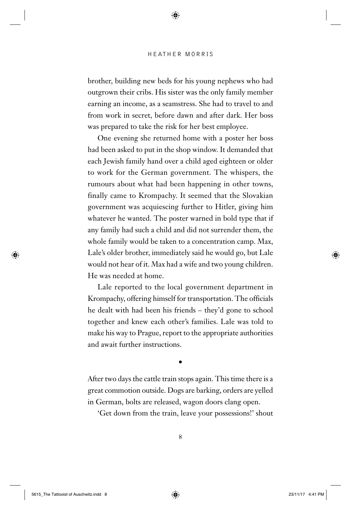⊕

brother, building new beds for his young nephews who had outgrown their cribs. His sister was the only family member earning an income, as a seamstress. She had to travel to and from work in secret, before dawn and after dark. Her boss was prepared to take the risk for her best employee.

One evening she returned home with a poster her boss had been asked to put in the shop window. It demanded that each Jewish family hand over a child aged eighteen or older to work for the German government. The whispers, the rumours about what had been happening in other towns, finally came to Krompachy. It seemed that the Slovakian government was acquiescing further to Hitler, giving him whatever he wanted. The poster warned in bold type that if any family had such a child and did not surrender them, the whole family would be taken to a concentration camp. Max, Lale's older brother, immediately said he would go, but Lale would not hear of it. Max had a wife and two young children. He was needed at home.

Lale reported to the local government department in Krompachy, offering himself for transportation. The officials he dealt with had been his friends – they'd gone to school together and knew each other's families. Lale was told to make his way to Prague, report to the appropriate authorities and await further instructions.

After two days the cattle train stops again. This time there is a great commotion outside. Dogs are barking, orders are yelled in German, bolts are released, wagon doors clang open.

•

'Get down from the train, leave your possessions!' shout

⊕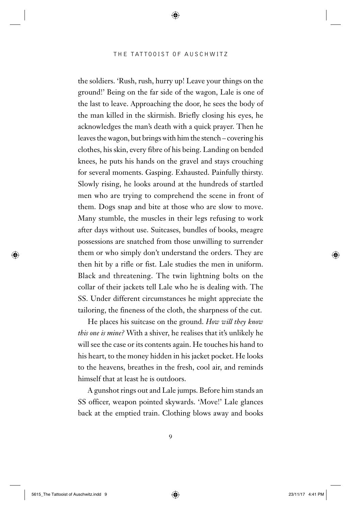⊕

the soldiers. 'Rush, rush, hurry up! Leave your things on the ground!' Being on the far side of the wagon, Lale is one of the last to leave. Approaching the door, he sees the body of the man killed in the skirmish. Briefly closing his eyes, he acknowledges the man's death with a quick prayer. Then he leaves the wagon, but brings with him the stench – covering his clothes, his skin, every fibre of his being. Landing on bended knees, he puts his hands on the gravel and stays crouching for several moments. Gasping. Exhausted. Painfully thirsty. Slowly rising, he looks around at the hundreds of startled men who are trying to comprehend the scene in front of them. Dogs snap and bite at those who are slow to move. Many stumble, the muscles in their legs refusing to work after days without use. Suitcases, bundles of books, meagre possessions are snatched from those unwilling to surrender them or who simply don't understand the orders. They are then hit by a rifle or fist. Lale studies the men in uniform. Black and threatening. The twin lightning bolts on the collar of their jackets tell Lale who he is dealing with. The SS. Under different circumstances he might appreciate the tailoring, the fineness of the cloth, the sharpness of the cut.

He places his suitcase on the ground. *How will they know this one is mine?* With a shiver, he realises that it's unlikely he will see the case or its contents again. He touches his hand to his heart, to the money hidden in his jacket pocket. He looks to the heavens, breathes in the fresh, cool air, and reminds himself that at least he is outdoors.

A gunshot rings out and Lale jumps. Before him stands an SS officer, weapon pointed skywards. 'Move!' Lale glances back at the emptied train. Clothing blows away and books

⊕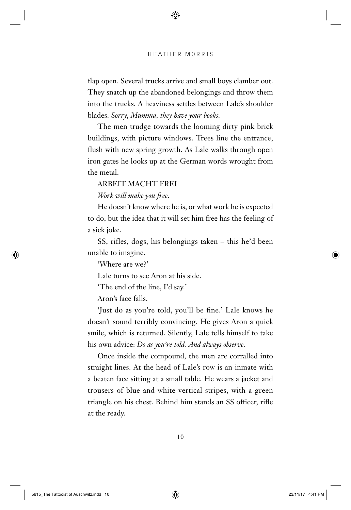◈

flap open. Several trucks arrive and small boys clamber out. They snatch up the abandoned belongings and throw them into the trucks. A heaviness settles between Lale's shoulder blades. *Sorry, Mumma, they have your books.*

The men trudge towards the looming dirty pink brick buildings, with picture windows. Trees line the entrance, flush with new spring growth. As Lale walks through open iron gates he looks up at the German words wrought from the metal.

## ARBEIT MACHT FREI

*Work will make you free*.

He doesn't know where he is, or what work he is expected to do, but the idea that it will set him free has the feeling of a sick joke.

SS, rifles, dogs, his belongings taken – this he'd been unable to imagine.

'Where are we?'

Lale turns to see Aron at his side.

'The end of the line, I'd say.'

Aron's face falls.

'Just do as you're told, you'll be fine.' Lale knows he doesn't sound terribly convincing. He gives Aron a quick smile, which is returned. Silently, Lale tells himself to take his own advice: *Do as you're told. And always observe.*

Once inside the compound, the men are corralled into straight lines. At the head of Lale's row is an inmate with a beaten face sitting at a small table. He wears a jacket and trousers of blue and white vertical stripes, with a green triangle on his chest. Behind him stands an SS officer, rifle at the ready.

⊕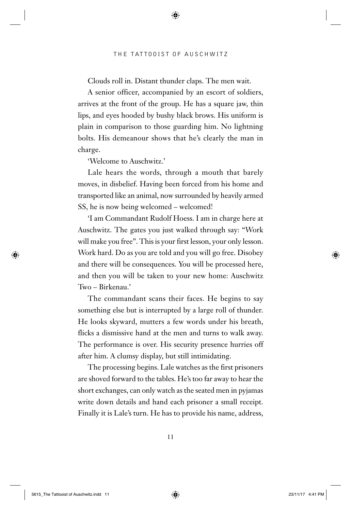⊕

Clouds roll in. Distant thunder claps. The men wait.

A senior officer, accompanied by an escort of soldiers, arrives at the front of the group. He has a square jaw, thin lips, and eyes hooded by bushy black brows. His uniform is plain in comparison to those guarding him. No lightning bolts. His demeanour shows that he's clearly the man in charge.

'Welcome to Auschwitz.'

Lale hears the words, through a mouth that barely moves, in disbelief. Having been forced from his home and transported like an animal, now surrounded by heavily armed SS, he is now being welcomed – welcomed!

'I am Commandant Rudolf Hoess. I am in charge here at Auschwitz. The gates you just walked through say: "Work will make you free". This is your first lesson, your only lesson. Work hard. Do as you are told and you will go free. Disobey and there will be consequences. You will be processed here, and then you will be taken to your new home: Auschwitz Two – Birkenau.'

The commandant scans their faces. He begins to say something else but is interrupted by a large roll of thunder. He looks skyward, mutters a few words under his breath, flicks a dismissive hand at the men and turns to walk away. The performance is over. His security presence hurries off after him. A clumsy display, but still intimidating.

The processing begins. Lale watches as the first prisoners are shoved forward to the tables. He's too far away to hear the short exchanges, can only watch as the seated men in pyjamas write down details and hand each prisoner a small receipt. Finally it is Lale's turn. He has to provide his name, address,

⊕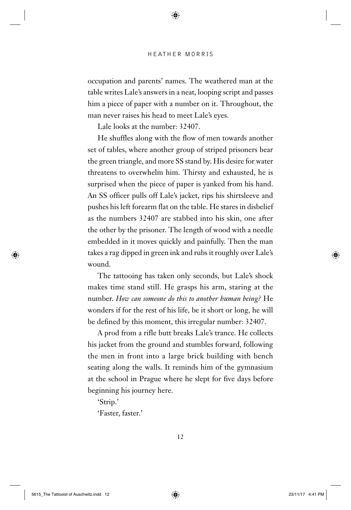⊕

occupation and parents' names. The weathered man at the table writes Lale's answers in a neat, looping script and passes him a piece of paper with a number on it. Throughout, the man never raises his head to meet Lale's eyes.

Lale looks at the number: 32407.

He shuffles along with the flow of men towards another set of tables, where another group of striped prisoners bear the green triangle, and more SS stand by. His desire for water threatens to overwhelm him. Thirsty and exhausted, he is surprised when the piece of paper is yanked from his hand. An SS officer pulls off Lale's jacket, rips his shirtsleeve and pushes his left forearm flat on the table. He stares in disbelief as the numbers 32407 are stabbed into his skin, one after the other by the prisoner. The length of wood with a needle embedded in it moves quickly and painfully. Then the man takes a rag dipped in green ink and rubs it roughly over Lale's wound.

The tattooing has taken only seconds, but Lale's shock makes time stand still. He grasps his arm, staring at the number. *How can someone do this to another human being?* He wonders if for the rest of his life, be it short or long, he will be defined by this moment, this irregular number: 32407.

A prod from a rifle butt breaks Lale's trance. He collects his jacket from the ground and stumbles forward, following the men in front into a large brick building with bench seating along the walls. It reminds him of the gymnasium at the school in Prague where he slept for five days before beginning his journey here.

'Strip.'

'Faster, faster.'

 $\textcolor{blue}{\textcircled{\star}}$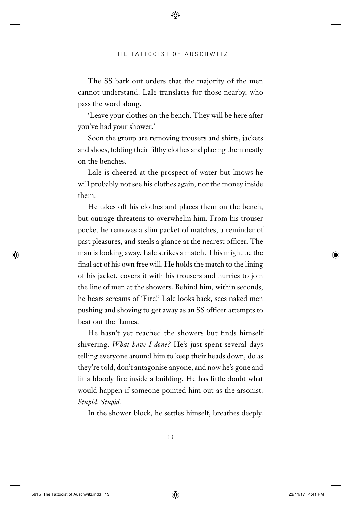⊕

The SS bark out orders that the majority of the men cannot understand. Lale translates for those nearby, who pass the word along.

'Leave your clothes on the bench. They will be here after you've had your shower.'

Soon the group are removing trousers and shirts, jackets and shoes, folding their filthy clothes and placing them neatly on the benches.

Lale is cheered at the prospect of water but knows he will probably not see his clothes again, nor the money inside them.

He takes off his clothes and places them on the bench, but outrage threatens to overwhelm him. From his trouser pocket he removes a slim packet of matches, a reminder of past pleasures, and steals a glance at the nearest officer. The man is looking away. Lale strikes a match. This might be the final act of his own free will. He holds the match to the lining of his jacket, covers it with his trousers and hurries to join the line of men at the showers. Behind him, within seconds, he hears screams of 'Fire!' Lale looks back, sees naked men pushing and shoving to get away as an SS officer attempts to beat out the flames.

He hasn't yet reached the showers but finds himself shivering. *What have I done?* He's just spent several days telling everyone around him to keep their heads down, do as they're told, don't antagonise anyone, and now he's gone and lit a bloody fire inside a building. He has little doubt what would happen if someone pointed him out as the arsonist. *Stupid*. *Stupid*.

In the shower block, he settles himself, breathes deeply.

⊕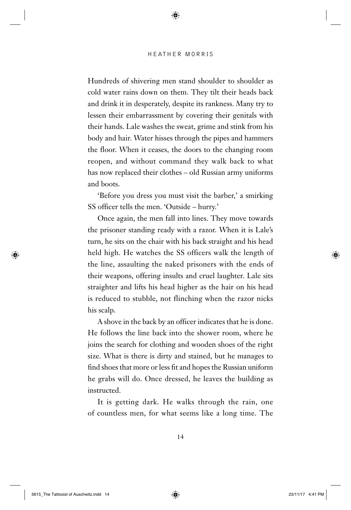◈

Hundreds of shivering men stand shoulder to shoulder as cold water rains down on them. They tilt their heads back and drink it in desperately, despite its rankness. Many try to lessen their embarrassment by covering their genitals with their hands. Lale washes the sweat, grime and stink from his body and hair. Water hisses through the pipes and hammers the floor. When it ceases, the doors to the changing room reopen, and without command they walk back to what has now replaced their clothes – old Russian army uniforms and boots.

'Before you dress you must visit the barber,' a smirking SS officer tells the men. 'Outside – hurry.'

Once again, the men fall into lines. They move towards the prisoner standing ready with a razor. When it is Lale's turn, he sits on the chair with his back straight and his head held high. He watches the SS officers walk the length of the line, assaulting the naked prisoners with the ends of their weapons, offering insults and cruel laughter. Lale sits straighter and lifts his head higher as the hair on his head is reduced to stubble, not flinching when the razor nicks his scalp.

A shove in the back by an officer indicates that he is done. He follows the line back into the shower room, where he joins the search for clothing and wooden shoes of the right size. What is there is dirty and stained, but he manages to find shoes that more or less fit and hopes the Russian uniform he grabs will do. Once dressed, he leaves the building as instructed.

It is getting dark. He walks through the rain, one of countless men, for what seems like a long time. The

⊕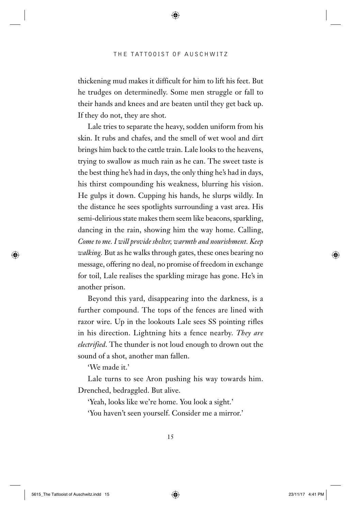⊕

thickening mud makes it difficult for him to lift his feet. But he trudges on determinedly. Some men struggle or fall to their hands and knees and are beaten until they get back up. If they do not, they are shot.

Lale tries to separate the heavy, sodden uniform from his skin. It rubs and chafes, and the smell of wet wool and dirt brings him back to the cattle train. Lale looks to the heavens, trying to swallow as much rain as he can. The sweet taste is the best thing he's had in days, the only thing he's had in days, his thirst compounding his weakness, blurring his vision. He gulps it down. Cupping his hands, he slurps wildly. In the distance he sees spotlights surrounding a vast area. His semi-delirious state makes them seem like beacons, sparkling, dancing in the rain, showing him the way home. Calling, *Come to me. I will provide shelter, warmth and nourishment. Keep walking.* But as he walks through gates, these ones bearing no message, offering no deal, no promise of freedom in exchange for toil, Lale realises the sparkling mirage has gone. He's in another prison.

Beyond this yard, disappearing into the darkness, is a further compound. The tops of the fences are lined with razor wire. Up in the lookouts Lale sees SS pointing rifles in his direction. Lightning hits a fence nearby. *They are electrified*. The thunder is not loud enough to drown out the sound of a shot, another man fallen.

'We made it.'

Lale turns to see Aron pushing his way towards him. Drenched, bedraggled. But alive.

'Yeah, looks like we're home. You look a sight.'

'You haven't seen yourself. Consider me a mirror.'

⊕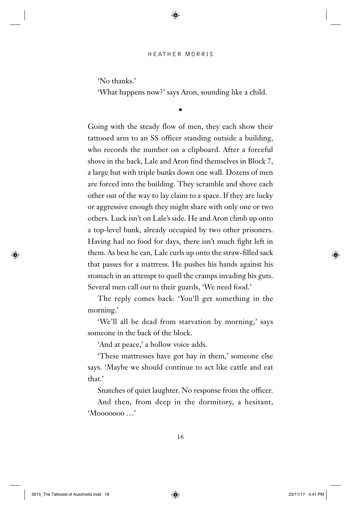⊕

'No thanks.'

'What happens now?' says Aron, sounding like a child.

•

Going with the steady flow of men, they each show their tattooed arm to an SS officer standing outside a building, who records the number on a clipboard. After a forceful shove in the back, Lale and Aron find themselves in Block 7, a large hut with triple bunks down one wall. Dozens of men are forced into the building. They scramble and shove each other out of the way to lay claim to a space. If they are lucky or aggressive enough they might share with only one or two others. Luck isn't on Lale's side. He and Aron climb up onto a top-level bunk, already occupied by two other prisoners. Having had no food for days, there isn't much fight left in them. As best he can, Lale curls up onto the straw-filled sack that passes for a mattress. He pushes his hands against his stomach in an attempt to quell the cramps invading his guts. Several men call out to their guards, 'We need food.'

The reply comes back: 'You'll get something in the morning.'

'We'll all be dead from starvation by morning,' says someone in the back of the block.

'And at peace,' a hollow voice adds.

'These mattresses have got hay in them,' someone else says. 'Maybe we should continue to act like cattle and eat that.'

Snatches of quiet laughter. No response from the officer.

And then, from deep in the dormitory, a hesitant, 'Mooooooo . . .'

⊕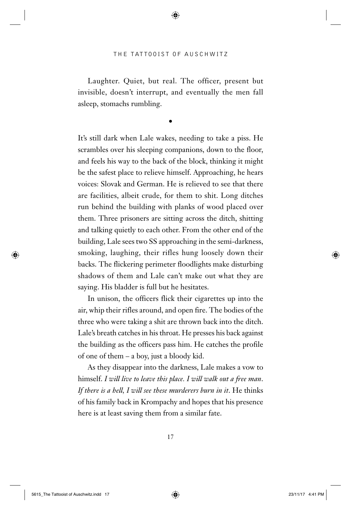⊕

Laughter. Quiet, but real. The officer, present but invisible, doesn't interrupt, and eventually the men fall asleep, stomachs rumbling.

•

It's still dark when Lale wakes, needing to take a piss. He scrambles over his sleeping companions, down to the floor, and feels his way to the back of the block, thinking it might be the safest place to relieve himself. Approaching, he hears voices: Slovak and German. He is relieved to see that there are facilities, albeit crude, for them to shit. Long ditches run behind the building with planks of wood placed over them. Three prisoners are sitting across the ditch, shitting and talking quietly to each other. From the other end of the building, Lale sees two SS approaching in the semi-darkness, smoking, laughing, their rifles hung loosely down their backs. The flickering perimeter floodlights make disturbing shadows of them and Lale can't make out what they are saying. His bladder is full but he hesitates.

In unison, the officers flick their cigarettes up into the air, whip their rifles around, and open fire. The bodies of the three who were taking a shit are thrown back into the ditch. Lale's breath catches in his throat. He presses his back against the building as the officers pass him. He catches the profile of one of them – a boy, just a bloody kid.

As they disappear into the darkness, Lale makes a vow to himself. *I will live to leave this place. I will walk out a free man*. *If there is a hell, I will see these murderers burn in it*. He thinks of his family back in Krompachy and hopes that his presence here is at least saving them from a similar fate.

⊕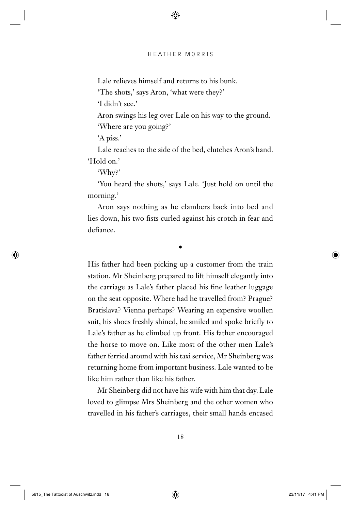◈

Lale relieves himself and returns to his bunk.

'The shots,' says Aron, 'what were they?'

'I didn't see.'

Aron swings his leg over Lale on his way to the ground. 'Where are you going?'

'A piss.'

Lale reaches to the side of the bed, clutches Aron's hand. 'Hold on.'

'Why?'

'You heard the shots,' says Lale. 'Just hold on until the morning.'

Aron says nothing as he clambers back into bed and lies down, his two fists curled against his crotch in fear and defiance.

•

His father had been picking up a customer from the train station. Mr Sheinberg prepared to lift himself elegantly into the carriage as Lale's father placed his fine leather luggage on the seat opposite. Where had he travelled from? Prague? Bratislava? Vienna perhaps? Wearing an expensive woollen suit, his shoes freshly shined, he smiled and spoke briefly to Lale's father as he climbed up front. His father encouraged the horse to move on. Like most of the other men Lale's father ferried around with his taxi service, Mr Sheinberg was returning home from important business. Lale wanted to be like him rather than like his father.

Mr Sheinberg did not have his wife with him that day. Lale loved to glimpse Mrs Sheinberg and the other women who travelled in his father's carriages, their small hands encased

⊕

↔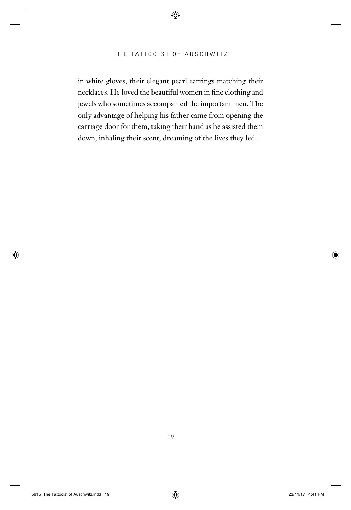$\bigcirc$ 

in white gloves, their elegant pearl earrings matching their necklaces. He loved the beautiful women in fine clothing and jewels who sometimes accompanied the important men. The only advantage of helping his father came from opening the carriage door for them, taking their hand as he assisted them down, inhaling their scent, dreaming of the lives they led.

 $\bigoplus$ 

⊕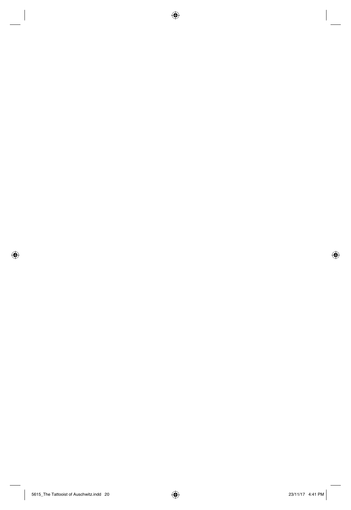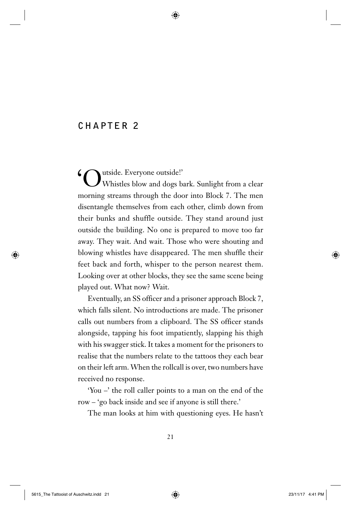# **CHAPTER 2**

'Outside. Everyone outside!' Whistles blow and dogs bark. Sunlight from a clear morning streams through the door into Block 7. The men disentangle themselves from each other, climb down from their bunks and shuffle outside. They stand around just outside the building. No one is prepared to move too far away. They wait. And wait. Those who were shouting and blowing whistles have disappeared. The men shuffle their feet back and forth, whisper to the person nearest them. Looking over at other blocks, they see the same scene being played out. What now? Wait.

⊕

Eventually, an SS officer and a prisoner approach Block 7, which falls silent. No introductions are made. The prisoner calls out numbers from a clipboard. The SS officer stands alongside, tapping his foot impatiently, slapping his thigh with his swagger stick. It takes a moment for the prisoners to realise that the numbers relate to the tattoos they each bear on their left arm. When the rollcall is over, two numbers have received no response.

'You –' the roll caller points to a man on the end of the row – 'go back inside and see if anyone is still there.'

The man looks at him with questioning eyes. He hasn't

⊕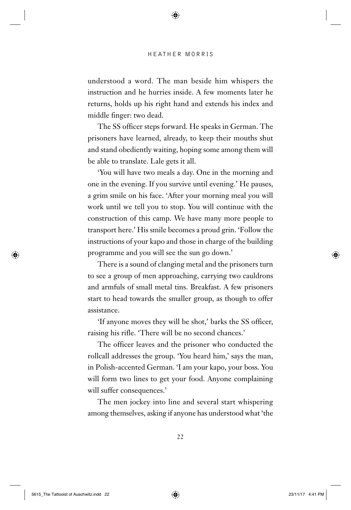⊕

understood a word. The man beside him whispers the instruction and he hurries inside. A few moments later he returns, holds up his right hand and extends his index and middle finger: two dead.

The SS officer steps forward. He speaks in German. The prisoners have learned, already, to keep their mouths shut and stand obediently waiting, hoping some among them will be able to translate. Lale gets it all.

'You will have two meals a day. One in the morning and one in the evening. If you survive until evening.' He pauses, a grim smile on his face. 'After your morning meal you will work until we tell you to stop. You will continue with the construction of this camp. We have many more people to transport here.' His smile becomes a proud grin. 'Follow the instructions of your kapo and those in charge of the building programme and you will see the sun go down.'

There is a sound of clanging metal and the prisoners turn to see a group of men approaching, carrying two cauldrons and armfuls of small metal tins. Breakfast. A few prisoners start to head towards the smaller group, as though to offer assistance.

'If anyone moves they will be shot,' barks the SS officer, raising his rifle. 'There will be no second chances.'

The officer leaves and the prisoner who conducted the rollcall addresses the group. 'You heard him,' says the man, in Polish-accented German. 'I am your kapo, your boss. You will form two lines to get your food. Anyone complaining will suffer consequences.'

The men jockey into line and several start whispering among themselves, asking if anyone has understood what 'the

⊕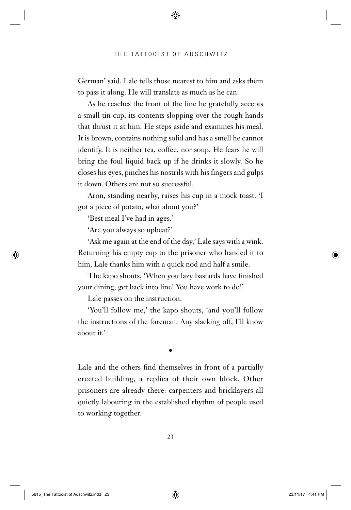⊕

German' said. Lale tells those nearest to him and asks them to pass it along. He will translate as much as he can.

As he reaches the front of the line he gratefully accepts a small tin cup, its contents slopping over the rough hands that thrust it at him. He steps aside and examines his meal. It is brown, contains nothing solid and has a smell he cannot identify. It is neither tea, coffee, nor soup. He fears he will bring the foul liquid back up if he drinks it slowly. So he closes his eyes, pinches his nostrils with his fingers and gulps it down. Others are not so successful.

Aron, standing nearby, raises his cup in a mock toast. 'I got a piece of potato, what about you?'

'Best meal I've had in ages.'

'Are you always so upbeat?'

'Ask me again at the end of the day,' Lale says with a wink. Returning his empty cup to the prisoner who handed it to him, Lale thanks him with a quick nod and half a smile.

The kapo shouts, 'When you lazy bastards have finished your dining, get back into line! You have work to do!'

Lale passes on the instruction.

'You'll follow me,' the kapo shouts, 'and you'll follow the instructions of the foreman. Any slacking off, I'll know about it.'

•

Lale and the others find themselves in front of a partially erected building, a replica of their own block. Other prisoners are already there: carpenters and bricklayers all quietly labouring in the established rhythm of people used to working together.

⊕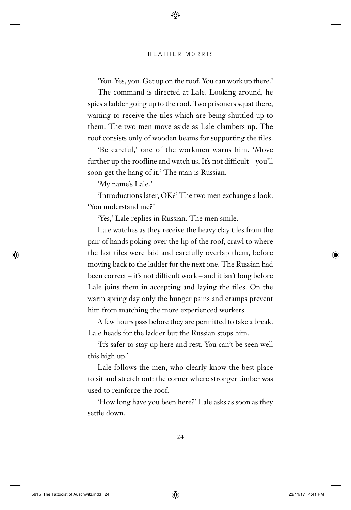⊕

'You. Yes, you. Get up on the roof. You can work up there.'

The command is directed at Lale. Looking around, he spies a ladder going up to the roof. Two prisoners squat there, waiting to receive the tiles which are being shuttled up to them. The two men move aside as Lale clambers up. The roof consists only of wooden beams for supporting the tiles.

'Be careful,' one of the workmen warns him. 'Move further up the roofline and watch us. It's not difficult – you'll soon get the hang of it.' The man is Russian.

'My name's Lale.'

'Introductions later, OK?' The two men exchange a look. 'You understand me?'

'Yes,' Lale replies in Russian. The men smile.

Lale watches as they receive the heavy clay tiles from the pair of hands poking over the lip of the roof, crawl to where the last tiles were laid and carefully overlap them, before moving back to the ladder for the next one. The Russian had been correct – it's not difficult work – and it isn't long before Lale joins them in accepting and laying the tiles. On the warm spring day only the hunger pains and cramps prevent him from matching the more experienced workers.

A few hours pass before they are permitted to take a break. Lale heads for the ladder but the Russian stops him.

'It's safer to stay up here and rest. You can't be seen well this high up.'

Lale follows the men, who clearly know the best place to sit and stretch out: the corner where stronger timber was used to reinforce the roof.

'How long have you been here?' Lale asks as soon as they settle down.

⊕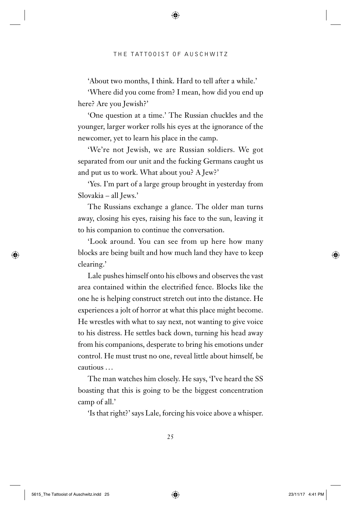⊕

'About two months, I think. Hard to tell after a while.'

'Where did you come from? I mean, how did you end up here? Are you Jewish?'

'One question at a time.' The Russian chuckles and the younger, larger worker rolls his eyes at the ignorance of the newcomer, yet to learn his place in the camp.

'We're not Jewish, we are Russian soldiers. We got separated from our unit and the fucking Germans caught us and put us to work. What about you? A Jew?'

'Yes. I'm part of a large group brought in yesterday from Slovakia – all Jews.'

The Russians exchange a glance. The older man turns away, closing his eyes, raising his face to the sun, leaving it to his companion to continue the conversation.

'Look around. You can see from up here how many blocks are being built and how much land they have to keep clearing.'

Lale pushes himself onto his elbows and observes the vast area contained within the electrified fence. Blocks like the one he is helping construct stretch out into the distance. He experiences a jolt of horror at what this place might become. He wrestles with what to say next, not wanting to give voice to his distress. He settles back down, turning his head away from his companions, desperate to bring his emotions under control. He must trust no one, reveal little about himself, be cautious . . .

The man watches him closely. He says, 'I've heard the SS boasting that this is going to be the biggest concentration camp of all.'

'Is that right?' says Lale, forcing his voice above a whisper.

⊕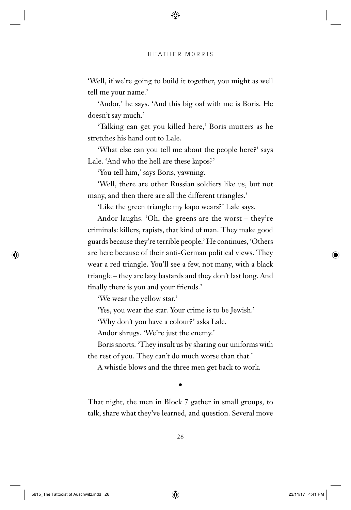◈

'Well, if we're going to build it together, you might as well tell me your name.'

'Andor,' he says. 'And this big oaf with me is Boris. He doesn't say much.'

'Talking can get you killed here,' Boris mutters as he stretches his hand out to Lale.

'What else can you tell me about the people here?' says Lale. 'And who the hell are these kapos?'

'You tell him,' says Boris, yawning.

'Well, there are other Russian soldiers like us, but not many, and then there are all the different triangles.'

'Like the green triangle my kapo wears?' Lale says.

Andor laughs. 'Oh, the greens are the worst – they're criminals: killers, rapists, that kind of man. They make good guards because they're terrible people.' He continues, 'Others are here because of their anti-German political views. They wear a red triangle. You'll see a few, not many, with a black triangle – they are lazy bastards and they don't last long. And finally there is you and your friends.'

'We wear the yellow star.'

'Yes, you wear the star. Your crime is to be Jewish.'

'Why don't you have a colour?' asks Lale.

Andor shrugs. 'We're just the enemy.'

Boris snorts. 'They insult us by sharing our uniforms with the rest of you. They can't do much worse than that.'

A whistle blows and the three men get back to work.

•

That night, the men in Block 7 gather in small groups, to talk, share what they've learned, and question. Several move

⊕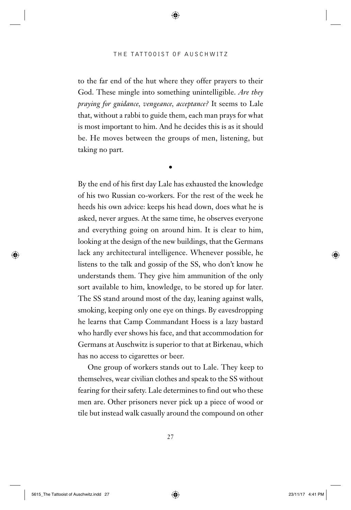⊕

to the far end of the hut where they offer prayers to their God. These mingle into something unintelligible. *Are they praying for guidance, vengeance, acceptance?* It seems to Lale that, without a rabbi to guide them, each man prays for what is most important to him. And he decides this is as it should be. He moves between the groups of men, listening, but taking no part.

•

By the end of his first day Lale has exhausted the knowledge of his two Russian co-workers. For the rest of the week he heeds his own advice: keeps his head down, does what he is asked, never argues. At the same time, he observes everyone and everything going on around him. It is clear to him, looking at the design of the new buildings, that the Germans lack any architectural intelligence. Whenever possible, he listens to the talk and gossip of the SS, who don't know he understands them. They give him ammunition of the only sort available to him, knowledge, to be stored up for later. The SS stand around most of the day, leaning against walls, smoking, keeping only one eye on things. By eavesdropping he learns that Camp Commandant Hoess is a lazy bastard who hardly ever shows his face, and that accommodation for Germans at Auschwitz is superior to that at Birkenau, which has no access to cigarettes or beer.

One group of workers stands out to Lale. They keep to themselves, wear civilian clothes and speak to the SS without fearing for their safety. Lale determines to find out who these men are. Other prisoners never pick up a piece of wood or tile but instead walk casually around the compound on other

⊕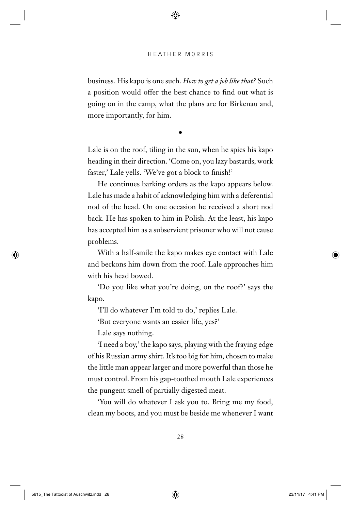⊕

business. His kapo is one such. *How to get a job like that?* Such a position would offer the best chance to find out what is going on in the camp, what the plans are for Birkenau and, more importantly, for him.

•

Lale is on the roof, tiling in the sun, when he spies his kapo heading in their direction. 'Come on, you lazy bastards, work faster,' Lale yells. 'We've got a block to finish!'

He continues barking orders as the kapo appears below. Lale has made a habit of acknowledging him with a deferential nod of the head. On one occasion he received a short nod back. He has spoken to him in Polish. At the least, his kapo has accepted him as a subservient prisoner who will not cause problems.

With a half-smile the kapo makes eye contact with Lale and beckons him down from the roof. Lale approaches him with his head bowed.

'Do you like what you're doing, on the roof?' says the kapo.

'I'll do whatever I'm told to do,' replies Lale.

'But everyone wants an easier life, yes?'

Lale says nothing.

'I need a boy,' the kapo says, playing with the fraying edge of his Russian army shirt. It's too big for him, chosen to make the little man appear larger and more powerful than those he must control. From his gap-toothed mouth Lale experiences the pungent smell of partially digested meat.

'You will do whatever I ask you to. Bring me my food, clean my boots, and you must be beside me whenever I want

⊕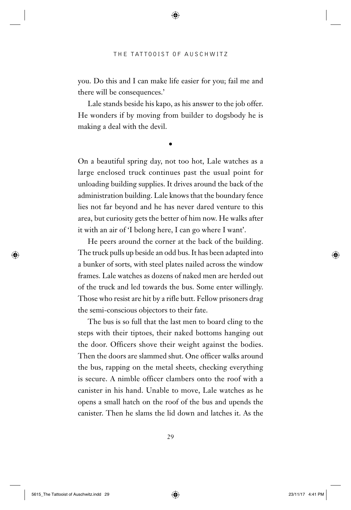⊕

you. Do this and I can make life easier for you; fail me and there will be consequences.'

Lale stands beside his kapo, as his answer to the job offer. He wonders if by moving from builder to dogsbody he is making a deal with the devil.

•

On a beautiful spring day, not too hot, Lale watches as a large enclosed truck continues past the usual point for unloading building supplies. It drives around the back of the administration building. Lale knows that the boundary fence lies not far beyond and he has never dared venture to this area, but curiosity gets the better of him now. He walks after it with an air of 'I belong here, I can go where I want'.

He peers around the corner at the back of the building. The truck pulls up beside an odd bus. It has been adapted into a bunker of sorts, with steel plates nailed across the window frames. Lale watches as dozens of naked men are herded out of the truck and led towards the bus. Some enter willingly. Those who resist are hit by a rifle butt. Fellow prisoners drag the semi-conscious objectors to their fate.

The bus is so full that the last men to board cling to the steps with their tiptoes, their naked bottoms hanging out the door. Officers shove their weight against the bodies. Then the doors are slammed shut. One officer walks around the bus, rapping on the metal sheets, checking everything is secure. A nimble officer clambers onto the roof with a canister in his hand. Unable to move, Lale watches as he opens a small hatch on the roof of the bus and upends the canister. Then he slams the lid down and latches it. As the

⊕